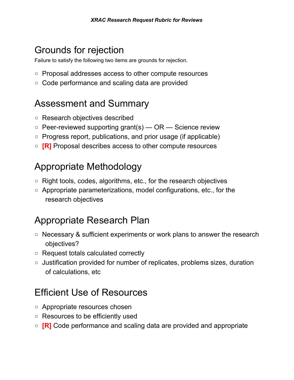# Grounds for rejection

Failure to satisfy the following two items are grounds for rejection.

- ◽ Proposal addresses access to other compute resources
- ◽ Code performance and scaling data are provided

# Assessment and Summary

- ◽ Research objectives described
- $\Box$  Peer-reviewed supporting grant(s) OR Science review
- ◽ Progress report, publications, and prior usage (if applicable)
- **□ [R]** Proposal describes access to other compute resources

# Appropriate Methodology

- □ Right tools, codes, algorithms, etc., for the research objectives
- ◽ Appropriate parameterizations, model configurations, etc., for the research objectives

# Appropriate Research Plan

- □ Necessary & sufficient experiments or work plans to answer the research objectives?
- ◽ Request totals calculated correctly
- ◽ Justification provided for number of replicates, problems sizes, duration of calculations, etc

# Efficient Use of Resources

- ◽ Appropriate resources chosen
- ◽ Resources to be efficiently used
- **□ [R]** Code performance and scaling data are provided and appropriate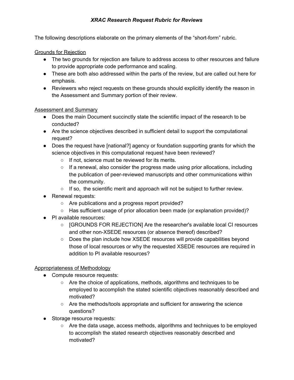## *XRAC Research Request Rubric for Reviews*

The following descriptions elaborate on the primary elements of the "short-form" rubric.

#### Grounds for Rejection

- The two grounds for rejection are failure to address access to other resources and failure to provide appropriate code performance and scaling.
- These are both also addressed within the parts of the review, but are called out here for emphasis.
- Reviewers who reject requests on these grounds should explicitly identify the reason in the Assessment and Summary portion of their review.

#### Assessment and Summary

- Does the main Document succinctly state the scientific impact of the research to be conducted?
- Are the science objectives described in sufficient detail to support the computational request?
- Does the request have [national?] agency or foundation supporting grants for which the science objectives in this computational request have been reviewed?
	- If not, science must be reviewed for its merits.
	- $\circ$  If a renewal, also consider the progress made using prior allocations, including the publication of peer-reviewed manuscripts and other communications within the community.
	- $\circ$  If so, the scientific merit and approach will not be subject to further review.
- Renewal requests:
	- Are publications and a progress report provided?
	- Has sufficient usage of prior allocation been made (or explanation provided)?
- PI available resources:
	- [GROUNDS FOR REJECTION] Are the researcher's available local CI resources and other non-XSEDE resources (or absence thereof) described?
	- Does the plan include how XSEDE resources will provide capabilities beyond those of local resources or why the requested XSEDE resources are required in addition to PI available resources?

## Appropriateness of Methodology

- Compute resource requests:
	- Are the choice of applications, methods, algorithms and techniques to be employed to accomplish the stated scientific objectives reasonably described and motivated?
	- $\circ$  Are the methods/tools appropriate and sufficient for answering the science questions?
- Storage resource requests:
	- Are the data usage, access methods, algorithms and techniques to be employed to accomplish the stated research objectives reasonably described and motivated?